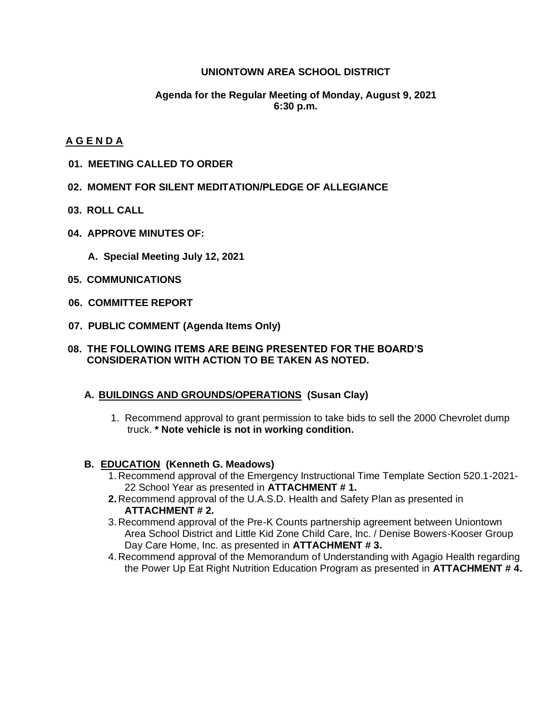### **UNIONTOWN AREA SCHOOL DISTRICT**

### **Agenda for the Regular Meeting of Monday, August 9, 2021 6:30 p.m.**

### **A G E N D A**

- **01. MEETING CALLED TO ORDER**
- **02. MOMENT FOR SILENT MEDITATION/PLEDGE OF ALLEGIANCE**
- **03. ROLL CALL**
- **04. APPROVE MINUTES OF:**
	- **A. Special Meeting July 12, 2021**
- **05. COMMUNICATIONS**
- **06. COMMITTEE REPORT**
- **07. PUBLIC COMMENT (Agenda Items Only)**
- **08. THE FOLLOWING ITEMS ARE BEING PRESENTED FOR THE BOARD'S CONSIDERATION WITH ACTION TO BE TAKEN AS NOTED.**

### **A. BUILDINGS AND GROUNDS/OPERATIONS (Susan Clay)**

1. Recommend approval to grant permission to take bids to sell the 2000 Chevrolet dump truck. **\* Note vehicle is not in working condition.**

### **B. EDUCATION (Kenneth G. Meadows)**

- 1. Recommend approval of the Emergency Instructional Time Template Section 520.1-2021- 22 School Year as presented in **ATTACHMENT # 1.**
- **2.** Recommend approval of the U.A.S.D. Health and Safety Plan as presented in **ATTACHMENT # 2.**
- 3. Recommend approval of the Pre-K Counts partnership agreement between Uniontown Area School District and Little Kid Zone Child Care, Inc. / Denise Bowers-Kooser Group Day Care Home, Inc. as presented in **ATTACHMENT # 3.**
- 4. Recommend approval of the Memorandum of Understanding with Agagio Health regarding the Power Up Eat Right Nutrition Education Program as presented in **ATTACHMENT # 4.**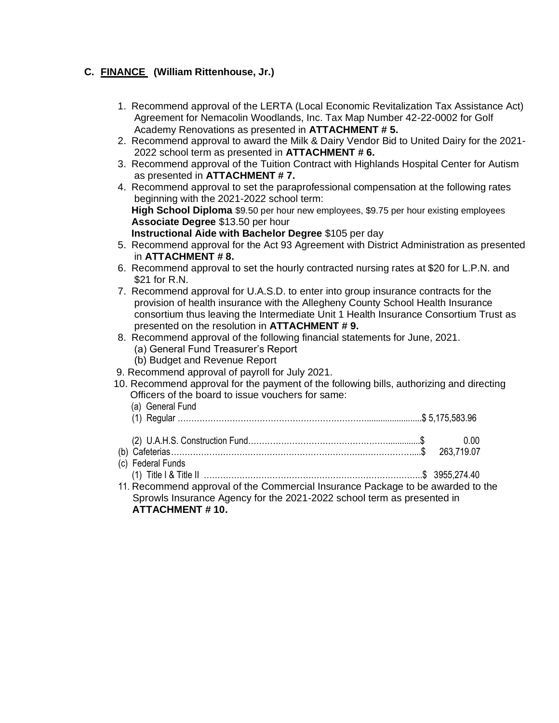## **C. FINANCE (William Rittenhouse, Jr.)**

- 1. Recommend approval of the LERTA (Local Economic Revitalization Tax Assistance Act) Agreement for Nemacolin Woodlands, Inc. Tax Map Number 42-22-0002 for Golf Academy Renovations as presented in **ATTACHMENT # 5.**
- 2. Recommend approval to award the Milk & Dairy Vendor Bid to United Dairy for the 2021- 2022 school term as presented in **ATTACHMENT # 6.**
- 3. Recommend approval of the Tuition Contract with Highlands Hospital Center for Autism as presented in **ATTACHMENT # 7.**
- 4. Recommend approval to set the paraprofessional compensation at the following rates beginning with the 2021-2022 school term:  **High School Diploma** \$9.50 per hour new employees, \$9.75 per hour existing employees  **Associate Degree** \$13.50 per hour  **Instructional Aide with Bachelor Degree** \$105 per day
- 5. Recommend approval for the Act 93 Agreement with District Administration as presented in **ATTACHMENT # 8.**
- 6. Recommend approval to set the hourly contracted nursing rates at \$20 for L.P.N. and \$21 for R.N.
- 7. Recommend approval for U.A.S.D. to enter into group insurance contracts for the provision of health insurance with the Allegheny County School Health Insurance consortium thus leaving the Intermediate Unit 1 Health Insurance Consortium Trust as presented on the resolution in **ATTACHMENT # 9.**
- 8. Recommend approval of the following financial statements for June, 2021.
	- (a) General Fund Treasurer's Report
	- (b) Budget and Revenue Report
- 9. Recommend approval of payroll for July 2021.
- 10. Recommend approval for the payment of the following bills, authorizing and directing Officers of the board to issue vouchers for same:
	- (a) General Fund (1) Regular ……………………………………………………………........................\$ 5,175,583.96

| (c) Federal Funds                                                          |
|----------------------------------------------------------------------------|
|                                                                            |
| 11 Recommend approval of the Commercial Insurance Rackage to be awarded to |

 11. Recommend approval of the Commercial Insurance Package to be awarded to the Sprowls Insurance Agency for the 2021-2022 school term as presented in **ATTACHMENT # 10.**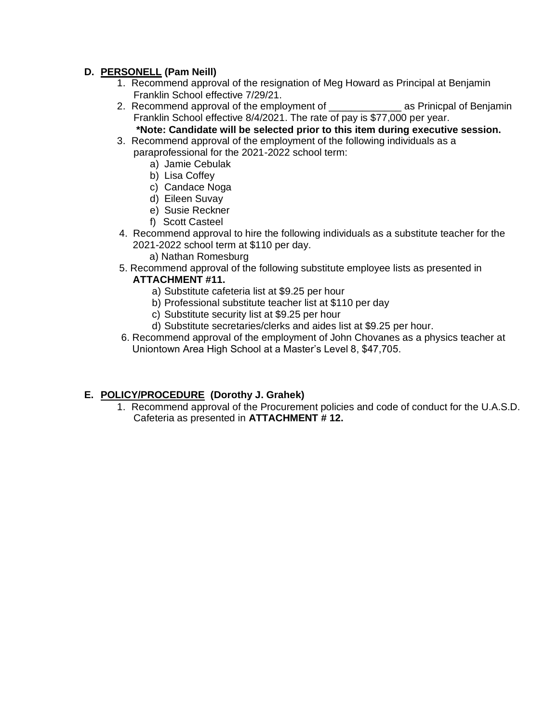### **D. PERSONELL (Pam Neill)**

- 1. Recommend approval of the resignation of Meg Howard as Principal at Benjamin Franklin School effective 7/29/21.
- 2. Recommend approval of the employment of **Example 2.** as Prinicpal of Benjamin Franklin School effective 8/4/2021. The rate of pay is \$77,000 per year. **\*Note: Candidate will be selected prior to this item during executive session.**
- 3. Recommend approval of the employment of the following individuals as a paraprofessional for the 2021-2022 school term:
	- a) Jamie Cebulak
	- b) Lisa Coffey
	- c) Candace Noga
	- d) Eileen Suvay
	- e) Susie Reckner
	- f) Scott Casteel
- 4. Recommend approval to hire the following individuals as a substitute teacher for the 2021-2022 school term at \$110 per day.
	- a) Nathan Romesburg
- 5. Recommend approval of the following substitute employee lists as presented in **ATTACHMENT #11.**
	- a) Substitute cafeteria list at \$9.25 per hour
	- b) Professional substitute teacher list at \$110 per day
	- c) Substitute security list at \$9.25 per hour
	- d) Substitute secretaries/clerks and aides list at \$9.25 per hour.
- 6. Recommend approval of the employment of John Chovanes as a physics teacher at Uniontown Area High School at a Master's Level 8, \$47,705.

# **E. POLICY/PROCEDURE (Dorothy J. Grahek)**

1. Recommend approval of the Procurement policies and code of conduct for the U.A.S.D. Cafeteria as presented in **ATTACHMENT # 12.**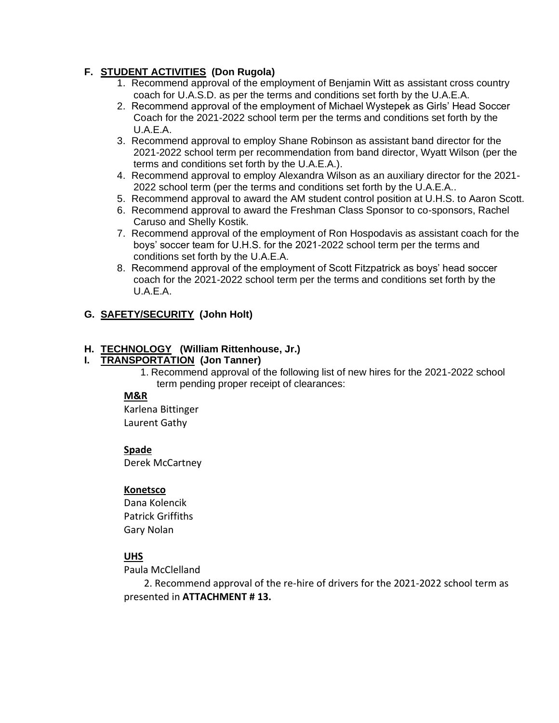## **F. STUDENT ACTIVITIES (Don Rugola)**

- 1. Recommend approval of the employment of Benjamin Witt as assistant cross country coach for U.A.S.D. as per the terms and conditions set forth by the U.A.E.A.
- 2. Recommend approval of the employment of Michael Wystepek as Girls' Head Soccer Coach for the 2021-2022 school term per the terms and conditions set forth by the U.A.E.A.
- 3. Recommend approval to employ Shane Robinson as assistant band director for the 2021-2022 school term per recommendation from band director, Wyatt Wilson (per the terms and conditions set forth by the U.A.E.A.).
- 4. Recommend approval to employ Alexandra Wilson as an auxiliary director for the 2021- 2022 school term (per the terms and conditions set forth by the U.A.E.A..
- 5. Recommend approval to award the AM student control position at U.H.S. to Aaron Scott.
- 6. Recommend approval to award the Freshman Class Sponsor to co-sponsors, Rachel Caruso and Shelly Kostik.
- 7. Recommend approval of the employment of Ron Hospodavis as assistant coach for the boys' soccer team for U.H.S. for the 2021-2022 school term per the terms and conditions set forth by the U.A.E.A.
- 8. Recommend approval of the employment of Scott Fitzpatrick as boys' head soccer coach for the 2021-2022 school term per the terms and conditions set forth by the U.A.E.A.

## **G. SAFETY/SECURITY (John Holt)**

### **H. TECHNOLOGY (William Rittenhouse, Jr.)**

### **I. TRANSPORTATION (Jon Tanner)**

1. Recommend approval of the following list of new hires for the 2021-2022 school term pending proper receipt of clearances:

### **M&R**

Karlena Bittinger Laurent Gathy

### **Spade**

Derek McCartney

### **Konetsco**

Dana Kolencik Patrick Griffiths Gary Nolan

### **UHS**

Paula McClelland

 2. Recommend approval of the re-hire of drivers for the 2021-2022 school term as presented in **ATTACHMENT # 13.**